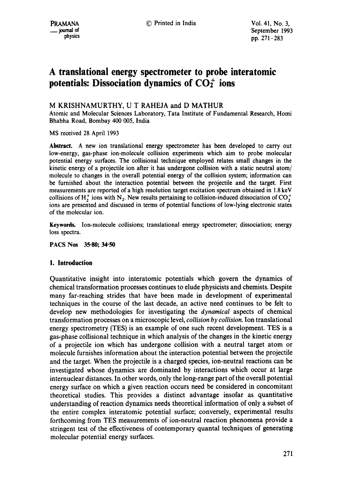# **A translational energy spectrometer to probe interatomic**  potentials: Dissociation dynamics of  $CO<sub>2</sub><sup>+</sup>$  ions

# M KRISHNAMURTHY, U T RAHEJA and D MATHUR

Atomic and Molecular Sciences Laboratory, Tata Institute of Fundamental Research, Homi Bhabha Road, Bombay 400 005, India

MS received 28 April 1993

**Abstract.** A new ion translational energy spectrometer has been developed to carry out low-energy, gas-phase ion-molecule collision experiments which aim to probe molecular potential energy surfaces. The coilisional technique employed relates small changes in the kinetic energy of a projectile ion after it has undergone collision with a static neutral atom/ molecule to changes in the overall potential energy of the collision system; information can be furnished about the interaction potential between the projectile and the target. First measurements are reported of a high resolution target excitation spectrum obtained in 1.8 keV collisions of H<sub>2</sub><sup>+</sup> ions with N<sub>2</sub>. New results pertaining to collision-induced dissociation of CO<sub>2</sub><sup>+</sup> ions are presented and discussed in terms of potential functions of low-lying electronic states of the molecular ion.

**Keywords.** Ion-molecule collisions; translational energy spectrometer; dissociation; energy loss spectra.

**PACS Nos 35.80; 34-50** 

# **1. Introduction**

Quantitative insight into interatomic potentials which govern the dynamics of chemical transformation processes continues to elude physicists and chemists. Despite many far-reaching strides that have been made in development of experimental techniques in the course of the last decade, an active need continues to be felt to develop new methodologies for investigating the *dynamical* aspects of chemical transformation processes on a microscopic level, *collision by collision.* Ion translational energy spectrometry (TES) is an example of one such recent development. TES is a gas-phase collisional technique in which analysis of the changes in the kinetic energy of a projectile ion which has undergone collision with a neutral target atom or molecule furnishes information about the interaction potential between the projectile and the target. When the projectile is a charged species, ion-neutral reactions can be investigated whose dynamics are dominated by interactions which occur at large internuclear distances. In other words, only the long-range part of the overall potential energy surface on which a given reaction occurs need be considered in concomitant theoretical studies. This provides a distinct advantage insofar as quantitative understanding of reaction dynamics needs theoretical information of only a subset of the entire complex interatomic potential surface; conversely, experimental results forthcoming from TES measurements of ion-neutral reaction phenomena provide a stringent test of the effectiveness of contemporary quantal techniques of generating molecular potential energy surfaces.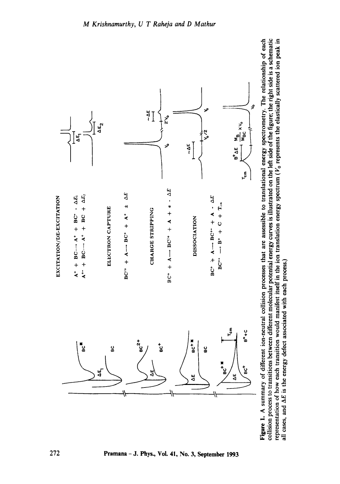

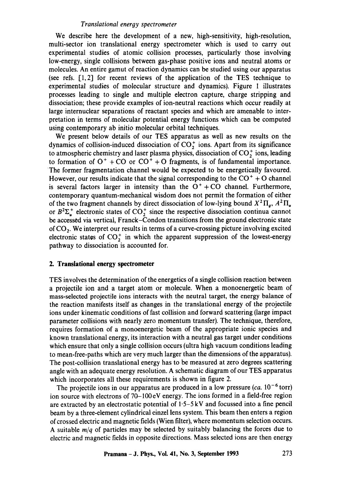We describe here the development of a new, high-sensitivity, high-resolution, multi-sector ion translational energy spectrometer which is used to carry out experimental studies of atomic collision processes, particularly those involving low-energy, single collisions between gas-phase positive ions and neutral atoms or molecules. An entire gamut of reaction dynamics can be studied using our apparatus (see refs. [1,2] for recent reviews of the application of the TES technique to experimental studies of molecular structure and dynamics). Figure 1 illustrates processes leading to single and multiple electron capture, charge stripping and dissociation; these provide examples of ion-neutral reactions which occur readily at large internuclear separations of reactant species and which are amenable to interpretation in terms of molecular potential energy functions which can be computed using contemporary ab initio molecular orbital techniques.

We present below details of our TES apparatus as well as new results on the dynamics of collision-induced dissociation of  $CO_2^+$  ions. Apart from its significance to atmospheric chemistry and laser plasma physics, dissociation of  $CO_2^+$  ions, leading to formation of  $O^+$  + CO or  $CO^+$  + O fragments, is of fundamental importance. The former fragmentation channel would be expected to be energetically favoured. However, our results indicate that the signal corresponding to the  $CO<sup>+</sup> + O$  channel is several factors larger in intensity than the  $O^+$ +CO channel. Furthermore, contemporary quantum-mechanical wisdom does not permit the formation of either of the two fragment channels by direct dissociation of low-lying bound  $X^2\Pi_e$ ,  $A^2\Pi_u$ or  $B^2\Sigma_u^+$  electronic states of  $\text{CO}_2^+$  since the respective dissociation continua cannot be accessed via vertical, Franck-Condon transitions from the ground electronic state of  $CO<sub>2</sub>$ . We interpret our results in terms of a curve-crossing picture involving excited electronic states of  $CO<sub>2</sub><sup>+</sup>$  in which the apparent suppression of the lowest-energy pathway to dissociation is accounted for.

# **2. Translational energy spectrometer**

TES involves the determination of the energetics of a single collision reaction between a projectile ion and a target atom or molecule. When a monoenergetic beam of mass-selected projectile ions interacts with the neutral target, the energy balance of the reaction manifests itself as changes in the translational energy of the projectile ions under kinematic conditions of fast collision and forward scattering (large impact parameter collisions with nearly zero momentum transfer). The technique, therefore, requires formation of a monoenergetic beam of the appropriate ionic species and known translational energy, its interaction with a neutral gas target under conditions which ensure that only a single collision occurs (ultra high vacuum conditions leading to mean-free-paths which are very much larger than the dimensions of the apparatus). The post-collision translational energy has to be measured at zero degrees scattering angle with an adequate energy resolution. A schematic diagram of our TES apparatus which incorporates all these requirements is shown in figure 2.

The projectile ions in our apparatus are produced in a low pressure  $(ca. 10^{-6}$  torr) ion source with electrons of 70-100eV energy. The ions formed in a field-free region are extracted by an electrostatic potential of 1.5-5 kV and focussed into a fine pencil beam by a three-element cylindrical einzel lens system. This beam then enters a region of crossed electric and magnetic fields (Wien filter), where momentum selection occurs. A suitable *m/q* of particles may be selected by suitably balancing the forces due to electric and magnetic fields in opposite directions. Mass selected ions are then energy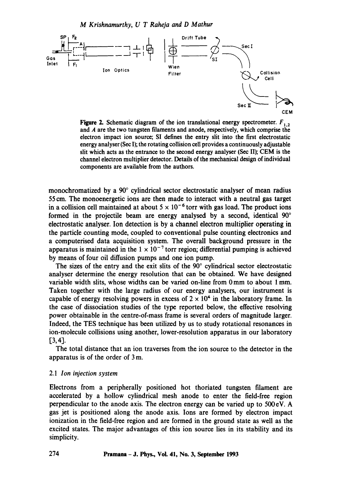

Figure 2. Schematic diagram of the ion translational energy spectrometer.  $F_{1,2}$ and A are the two tungsten filaments and anode, respectively, which comprise the electron impact ion source; SI defines the entry slit into the first electrostatic energy analyser (Sec I); the rotating collision cell provides a continuously adjustable slit which acts as the entrance to the second energy analyser (Sec II); CEM is the channel electron multiplier detector. Details of the mechanical design of individual components are available from the authors.

monochromatized by a  $90^{\circ}$  cylindrical sector electrostatic analyser of mean radius 55 era. The monoenergetic ions are then made to interact with a neutral gas target in a collision cell maintained at about  $5 \times 10^{-6}$  torr with gas load. The product ions formed in the projectile beam are energy analysed by a second, identical  $90^{\circ}$ electrostatic analyser. Ion detection is by a channel electron multiplier operating in the particle counting mode, coupled to conventional pulse counting electronics and a computerised data acquisition system. The overall background pressure in the apparatus is maintained in the  $1 \times 10^{-7}$  torr region; differential pumping is achieved by means of four oil diffusion pumps and one ion pump.

The sizes of the entry and the exit slits of the  $90^\circ$  cylindrical sector electrostatic analyser determine the energy resolution that can be obtained. We have designed variable width slits, whose widths can be varied on-line from 0 mm to about 1 mm. Taken together with the large radius of our energy analysers, our instrument is capable of energy resolving powers in excess of  $2 \times 10^4$  in the laboratory frame. In the case of dissociation studies of the type reported below, the effective resolving power obtainable in the centre-of-mass frame is several orders of magnitude larger. Indeed, the TES technique has been utilized by us to study rotational resonances in ion-molecule collisions using another, lower-resolution apparatus in our laboratory [3,4].

The total distance that an ion traverses from the ion source to the detector in the apparatus is of the order of 3 m.

#### *2.1 Ion injection system*

Electrons from a peripherally positioned hot thoriated tungsten filament are accelerated by a hollow cylindrical mesh anode to enter the field-free region perpendicular to the anode axis. The electron energy can be varied up to 500 eV. A gas jet is positioned along the anode axis. Ions are formed by electron impact ionization in the field-free region and are formed in the ground state as well as the excited states. The major advantages of this ion source lies in its stability and its simplicity.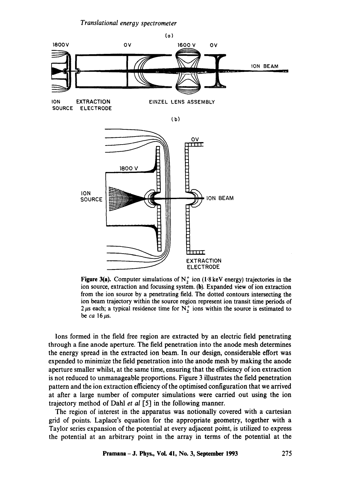

ION EXTRACTION EINZEL LENS ASSEMBLY SOURCE ELECTRODE

(b)



**Figure 3(a).** Computer simulations of  $N_2^+$  ion (1.8 keV energy) trajectories in the ion source, extraction and focussing system. (b). Expanded view of ion extraction from the ion source by a penetrating field. The dotted contours intersecting the ion beam trajectory within the source region represent ion transit time periods of  $2 \mu s$  each; a typical residence time for  $N_2^+$  ions within the source is estimated to be  $ca$   $16~\mu s$ .

Ions formed in the field free region are extracted by an electric field penetrating through a fine anode aperture. The field penetration into the anode mesh determines the energy spread in the extracted ion beam. In our design, considerable effort was expended to minimize the field penetration into the anode mesh by making the anode aperture smaller whilst, at the same time, ensuring that the efficiency of ion extraction is not reduced to unmanageable proportions. Figure 3 illustrates the field penetration pattern and the ion extraction efficiency of the optimised configuration that we arrived at after a large number of computer simulations were carried out using the ion trajectory method of Dahl *et al* [5] in the following manner.

The region of interest in the apparatus was notionally covered with a cartesian grid of points. Laplace's equation for the appropriate geometry, together with a Taylor series expansion of the potential at every adjacent point, is utilized to express the potential at an arbitrary point in the array in terms of the potential at the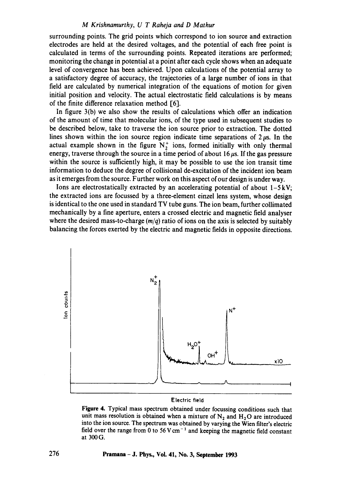#### *M Krishnamurthy, U T Raheja and D Mathur*

surrounding points. The grid points which correspond to ion source and extraction electrodes are held at the desired voltages, and the potential of each free point is calculated in terms of the surrounding points. Repeated iterations are performed; monitoring the change in potential at a point after each cycle shows when an adequate level of convergence has been achieved. Upon calculations of the potential array to a satisfactory degree of accuracy, the trajectories of a large number of ions in that field are calculated by numerical integration of the equations of motion for given initial position and velocity. The actual electrostatic field calculations is by means of the finite difference relaxation method [6].

In figure 3(b) we also show the results of calculations which offer an indication of the amount of time that molecular ions, of the type used in subsequent studies to be described below, take to traverse the ion source prior to extraction. The dotted lines shown within the ion source region indicate time separations of  $2~\mu s$ . In the actual example shown in the figure  $N_2^+$  ions, formed initially with only thermal energy, traverse through the source in a time period of about  $16 \mu s$ . If the gas pressure within the source is sufficiently high, it may be possible to use the ion transit time information to deduce the degree of collisional de-excitation of the incident ion beam as it emerges from the source. Further work on this aspect of our design is under way.

Ions are electrostatically extracted by an accelerating potential of about  $1-5kV$ ; the extracted ions are focussed by a three-element einzel lens system, whose design is identical to the one used in standard TV tube guns. The ion beam, further collimated mechanically by a fine aperture, enters a crossed electric and magnetic field analyser where the desired mass-to-charge *(m/q)* ratio of ions on the axis is selected by suitably balancing the forces exerted by the electric and magnetic fields in opposite directions.



#### Electric field

Figure 4. Typical mass spectrum obtained under focussing conditions such that unit mass resolution is obtained when a mixture of  $N_2$  and  $H_2O$  are introduced into the ion source. The spectrum was obtained by varying the Wien filter's electric field over the range from 0 to 56 V cm<sup>-1</sup> and keeping the magnetic field constant at 300 G.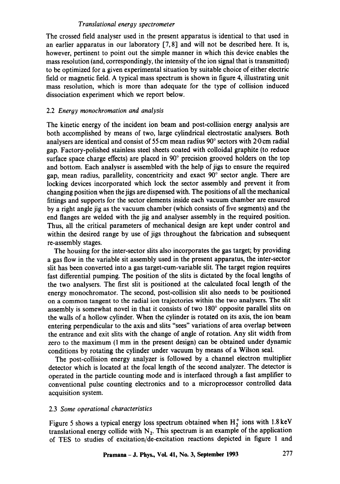The crossed field analyser used in the present apparatus is identical to that used in an earlier apparatus in our laboratory [7, 8] and will not be described here. It is, however, pertinent to point out the simple manner in which this device enables the mass resolution (and, correspondingly, the intensity of the ion signal that is transmitted) to be optimized for a given experimental situation by suitable choice of either electric field or magnetic field. A typical mass spectrum is shown in figure 4, illustrating unit mass resolution, which is more than adequate for the type of collision induced dissociation experiment which we report below.

# 2.2 *Energy monochromation and analysis*

The kinetic energy of the incident ion beam and post-collision energy analysis are both accomplished by means of two, large cylindrical electrostatic analysers. Both analysers are identical and consist of 55 cm mean radius  $90^{\circ}$  sectors with 2.0 cm radial gap. Factory-polished stainless steel sheets coated with colloidal graphite (to reduce surface space charge effects) are placed in  $90^\circ$  precision grooved holders on the top and bottom. Each analyser is assembled with the help of jigs to ensure the required gap, mean radius, parallelity, concentricity and exact 90° sector angle. There are locking devices incorporated which lock the sector assembly and prevent it from changing position when the jigs are dispensed with. The positions of all the mechanical fittings and supports for the sector elements inside each vacuum chamber are ensured by a right angle jig as the vacuum chamber (which consists of five segments) and the end flanges are welded with the jig and analyser assembly in the required position. Thus, all the critical parameters of mechanical design are kept under control and within the desired range by use of jigs throughout the fabrication and subsequent re-assembly stages.

The housing for the inter-sector slits also incorporates the gas target; by providing a gas flow in the variable sit assembly used in the present apparatus, the inter-sector slit has been converted into a gas target-cum-variable slit. The target region requires fast differential pumping. The position of the slits is dictated by the focal lengths of the two analysers. The first slit is positioned at the calculated focal length of the energy monochromator. The second, post-collision slit also needs to be positioned on a common tangent to the radial ion trajectories within the two analysers. The slit assembly is somewhat novel in that it consists of two 180° opposite parallel slits on the walls of a hollow cylinder. When the cylinder is rotated on its axis, the ion beam entering perpendicular to the axis and slits "sees" variations of area overlap between the entrance and exit slits with the change of angle of rotation. Any slit width from zero to the maximum (1 mm in the present design) can be obtained under dynamic conditions by rotating the cylinder under vacuum by means of a Wilson seal.

The post-collision energy analyzer is followed by a channel electron multiplier detector which is located at the focal length of the second analyzer. The detector is operated in the particle counting mode and is interfaced through a fast amplifier to conventional pulse counting electronics and to a microprocessor controlled data acquisition system.

# 2.3 *Some operational characteristics*

Figure 5 shows a typical energy loss spectrum obtained when  $H_2^+$  ions with 1.8 keV translational energy collide with  $N_2$ . This spectrum is an example of the application of TES to studies of excitation/de-excitation reactions depicted in figure 1 and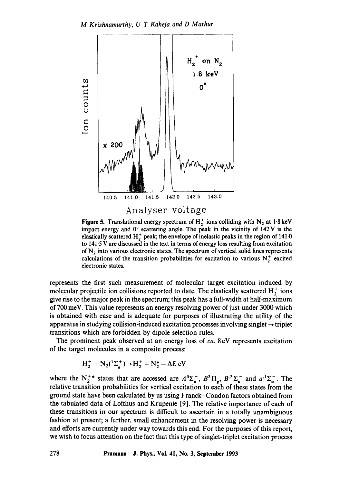

**Figure 5.** Translational energy spectrum of  $H_2^+$  ions colliding with N<sub>2</sub> at 1.8 keV impact energy and  $0^{\circ}$  scattering angle. The peak in the vicinity of 142 V is the elastically scattered  $H_2^+$  peak; the envelope of inelastic peaks in the region of 141.0 to 141.5 V are discussed in the text in terms of energy loss resulting from excitation of  $N_2$  into various electronic states. The spectrum of vertical solid lines represents calculations of the transition probabilities for excitation to various  $N_2^+$  excited electronic states.

represents the first such measurement of molecular target excitation induced by molecular projectile ion collisions reported to date. The elastically scattered  $H_2^+$  ions give rise to the major peak in the spectrum; this peak has a full-width at half-maximum of 700 meV. This value represents an energy resolving power of just under 3000 which is obtained with ease and is adequate for purposes of illustrating the utility of the apparatus in studying collision-induced excitation processes involving singlet  $\rightarrow$  triplet transitions which are forbidden by dipole selection rules.

The prominent peak observed at an energy loss of *ca.* 8 eV represents excitation of the target molecules in a composite process:

$$
H_2^+ + N_2(^1\Sigma_g^+) \rightarrow H_2^+ + N_2^* - \Delta E
$$
 eV

where the N<sup>+\*</sup> states that are accessed are  $A^3\Sigma_u^+$ ,  $B^3\Pi_g$ ,  $B^3\Sigma_u^-$  and  $a^1\Sigma_u^-$ . The relative transition probabilities for vertical excitation to each of these states from the ground state have been calculated by us using Franck-Condon factors obtained from the tabulated data of Lofthus and Krupenie [9]. The relative importance of each of these transitions in our spectrum is difficult to ascertain in a totally unambiguous fashion at present; a further, small enhancement in the resolving power is necessary and efforts are currently under way towards this end. For the purposes of this report, we wish to focus attention on the fact that this type of singlet-triplet excitation process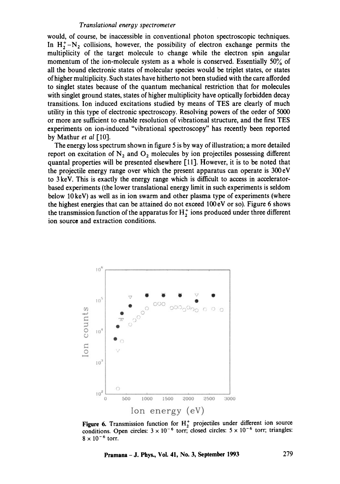would, of course, be inaccessible in conventional photon spectroscopic techniques. In  $H_2^+$ -N<sub>2</sub> collisions, however, the possibility of electron exchange permits the multiplicity of the target molecule to change while the electron spin angular momentum of the ion-molecule system as a whole is conserved. Essentially 50% of all the bound electronic states of molecular species would be triplet states, or states of higher multiplicity. Such states have hitherto not been studied with the care afforded to singlet states because of the quantum mechanical restriction that for molecules with singlet ground states, states of higher multiplicity have optically forbidden decay transitions. Ion induced excitations studied by means of TES are clearly of much utility in this type of electronic spectroscopy. Resolving powers of the order of 5000 or more are sufficient to enable resolution of vibrational structure, and the first TES experiments on ion-induced "vibrational spectroscopy" has recently been reported by Mathur *et al* [10].

The energy loss spectrum shown in figure 5 is by way of illustration; a more detailed report on excitation of  $N_2$  and  $O_2$  molecules by ion projectiles possessing different quantal properties will be presented elsewhere [11]. However, it is to be noted that the projectile energy range over which the present apparatus can operate is 300 eV to 3 keV. This is exactly the energy range which is difficult to access in acceleratorbased experiments (the lower translational energy limit in such experiments is seldom below 10 keV) as well as in ion swarm and other plasma type of experiments (where the highest energies that can be attained do not exceed 100 eV or so). Figure 6 shows the transmission function of the apparatus for  $H_2^+$  ions produced under three different ion source and extraction conditions.



**Figure 6.** Transmission function for  $H_2^+$  projectiles under different ion source conditions. Open circles:  $3 \times 10^{-6}$  torr; closed circles:  $5 \times 10^{-6}$  torr; triangles:  $8 \times 10^{-6}$  torr.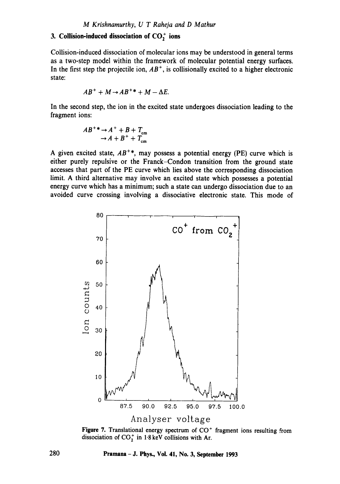# **3. Collision-induced dissociation of CO<sub>2</sub> ions**

Collision-induced dissociation of molecular ions may be understood in general terms as a two-step model within the framework of molecular potential energy surfaces. In the first step the projectile ion,  $AB^+$ , is collisionally excited to a higher electronic state:

$$
AB^+ + M \rightarrow AB^{+\ast} + M - \Delta E.
$$

In the second step, the ion in the excited state undergoes dissociation leading to the fragment ions:

$$
AB^{+\ast} \rightarrow A^{+} + B + T_{\text{cm}}
$$
  

$$
\rightarrow A + B^{+} + T_{\text{cm}}
$$

A given excited state,  $AB^{+*}$ , may possess a potential energy (PE) curve which is either purely repulsive or the Franck-Condon transition from the ground state accesses that part of the PE curve which lies above the corresponding dissociation limit. A third alternative may involve an excited state which possesses a potential energy curve which has a minimum; such a state can undergo dissociation due to an avoided curve crossing involving a dissociative electronic state. This mode of



Figure 7. Translational energy spectrum of CO<sup>+</sup> fragment ions resulting from dissociation of  $CO_2^+$  in 1.8 keV collisions with Ar.

**280 Pramana- J. Phys., Vol. 41, No. 3, September 1993**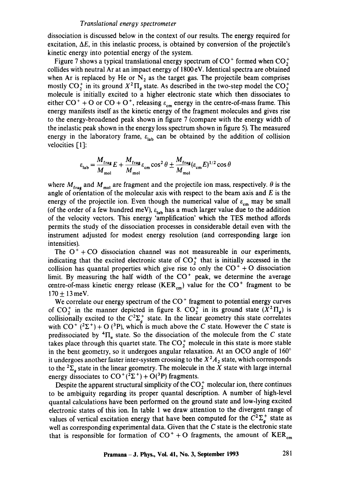dissociation is discussed below in the context of our results. The energy required for excitation,  $\Delta E$ , in this inelastic process, is obtained by conversion of the projectile's kinetic energy into potential energy of the system.

Figure 7 shows a typical translational energy spectrum of  $CO<sup>+</sup>$  formed when  $CO<sup>+</sup>$ collides with neutral Ar at an impact energy of 1800 eV. Identical spectra are obtained when Ar is replaced by He or  $N_2$  as the target gas. The projectile beam comprises mostly CO<sub>2</sub> in its ground  $X^2\Pi_a$  state. As described in the two-step model the CO<sub>2</sub><sup>+</sup> molecule is initially excited to a higher electronic state which then dissociates to either  $CO<sup>+</sup> + O$  or  $CO + O<sup>+</sup>$ , releasing  $\varepsilon_{cm}$  energy in the centre-of-mass frame. This energy manifests itself as the kinetic energy of the fragment molecules and gives rise to the energy-broadened peak shown in figure 7 (compare with the energy width of the inelastic peak shown in the energy loss spectrum shown in figure 5). The measured energy in the laboratory frame,  $\varepsilon_{lab}$  can be obtained by the addition of collision velocities [1]:

$$
\varepsilon_{\text{lab}} = \frac{M_{\text{frag}}}{M_{\text{mol}}} E + \frac{M_{\text{frag}}}{M_{\text{mol}}} \varepsilon_{\text{cm}} \cos^2 \theta \pm \frac{M_{\text{frag}}}{M_{\text{mol}}} (\varepsilon_{\text{cm}} E)^{1/2} \cos \theta
$$

where  $M_{\text{frag}}$  and  $M_{\text{mol}}$  are fragment and the projectile ion mass, respectively.  $\theta$  is the angle of orientation of the molecular axis with respect to the beam axis and  $E$  is the energy of the projectile ion. Even though the numerical value of  $\varepsilon_{cm}$  may be small (of the order of a few hundred meV),  $\varepsilon_{\text{lab}}$  has a much larger value due to the addition of the velocity vectors. This energy 'amplification' which the TES method affords permits the study of the dissociation processes in considerable detail even with the instrument adjusted for modest energy resolution (and corresponding large ion intensities).

The  $O<sup>+</sup> + CO$  dissociation channel was not measureable in our experiments, indicating that the excited electronic state of  $CO_2^+$  that is initially accessed in the collision has quantal properties which give rise to only the  $CO<sup>+</sup> + O$  dissociation limit. By measuring the half width of the  $CO<sup>+</sup>$  peak, we determine the average centre-of-mass kinetic energy release (KER<sub>cm</sub>) value for the  $CO<sup>+</sup>$  fragment to be  $170 \pm 13$  meV.

We correlate our energy spectrum of the CO<sup>+</sup> fragment to potential energy curves of CO<sub>2</sub><sup>+</sup> in the manner depicted in figure 8. CO<sub>2</sub><sup>+</sup> in its ground state  $(X^2\Pi_q)$  is collisionally excited to the  $C^2\Sigma_a^+$  state. In the linear geometry this state correlates with  $CO^+$  (<sup>2</sup> $\Sigma^+$ ) + O (<sup>3</sup>P), which is much above the C state. However the C state is predissociated by  ${}^4\Pi_u$  state. So the dissociation of the molecule from the C state takes place through this quartet state. The  $CO_2^+$  molecule in this state is more stable in the bent geometry, so it undergoes angular relaxation. At an OCO angle of  $160^\circ$ it undergoes another faster inter-system crossing to the  $X^2A_2$  state, which corresponds to the  ${}^{2}\Sigma_{a}$  state in the linear geometry. The molecule in the X state with large internal energy dissociates to  $CO^+(2\Sigma^+) + O(^3P)$  fragments.

Despite the apparent structural simplicity of the  $CO<sub>2</sub><sup>+</sup>$  molecular ion, there continues to be ambiguity regarding its proper quantal description. A number of high-level quantal calculations have been performed on the ground state and low-lying excited electronic states of this ion. In table 1 we draw attention to the divergent range of values of vertical excitation energy that have been computed for the  $C^2\Sigma_a^+$  state as well as corresponding experimental data. Given that the  $C$  state is the electronic state that is responsible for formation of  $CO<sup>+</sup> + O$  fragments, the amount of  $KER_{cm}$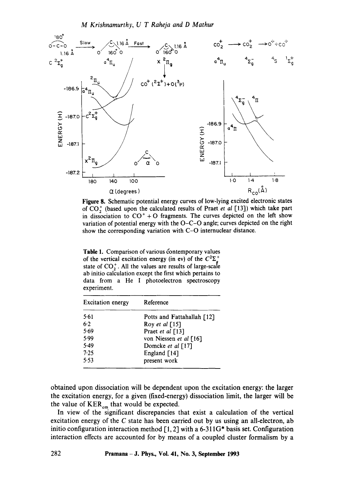

**Figure** 8. Schematic potential energy curves of low-lying excited electronic states of CO<sub>7</sub> (based upon the calculated results of Praet *et al* [13]) which take part in dissociation to  $CO^{+}$  + O fragments. The curves depicted on the left show variation of potential energy with the  $O-C-O$  angle; curves depicted on the right show the corresponding variation with C-O internuclear distance.

Table 1. Comparison of various contemporary values of the vertical excitation energy (in ev) of the  $C^2\Sigma^+$ state of  $CO<sub>2</sub><sup>+</sup>$ . All the values are results of large-scale ab initio calculation except the first which pertains to data from a He I photoelectron spectroscopy experiment.

| <b>Excitation energy</b> | Reference                  |
|--------------------------|----------------------------|
| 5.61                     | Potts and Fattahallah [12] |
| 6.2                      | Roy et al $[15]$           |
| 5.69                     | Praet et al [13]           |
| 5.99                     | von Niessen et al [16]     |
| 5.49                     | Domcke et al [17]          |
| 7.25                     | England $\lceil 14 \rceil$ |
| 5.53                     | present work               |

obtained upon dissociation will be dependent upon the excitation energy: the larger the excitation energy, for a given (fixed-energy) dissociation limit, the larger will be the value of  $KER_{cm}$  that would be expected.

In view of the significant discrepancies that exist a calculation of the vertical excitation energy of the C state has been carried out by us using an all-electron, ab initio configuration interaction method [1, 2] with a 6-311G\* basis set. Configuration interaction effects are accounted for by means of a coupled cluster formalism by a